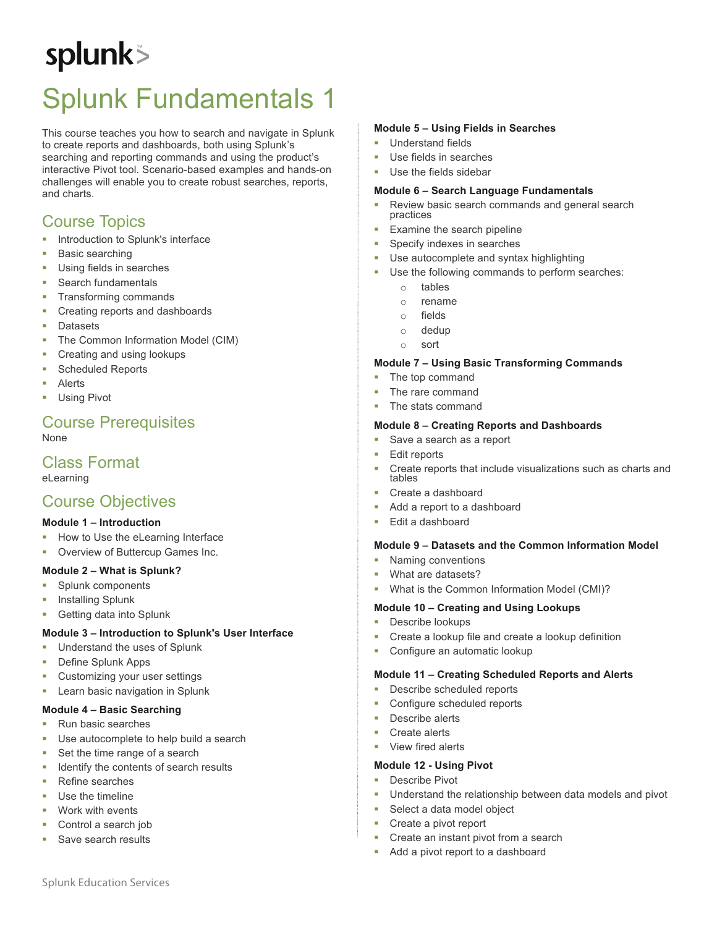# splunk>

# Splunk Fundamentals 1

This course teaches you how to search and navigate in Splunk to create reports and dashboards, both using Splunk's searching and reporting commands and using the product's interactive Pivot tool. Scenario-based examples and hands-on challenges will enable you to create robust searches, reports, and charts.

## Course Topics

- **•** Introduction to Splunk's interface
- Basic searching
- Using fields in searches
- § Search fundamentals
- § Transforming commands
- § Creating reports and dashboards
- § Datasets
- The Common Information Model (CIM)
- § Creating and using lookups
- § Scheduled Reports
- **Alerts**
- Using Pivot

#### Course Prerequisites None

### Class Format

eLearning

### Course Objectives

#### **Module 1 – Introduction**

- § How to Use the eLearning Interface
- § Overview of Buttercup Games Inc.

#### **Module 2 – What is Splunk?**

- § Splunk components
- § Installing Splunk
- § Getting data into Splunk

#### **Module 3 – Introduction to Splunk's User Interface**

- Understand the uses of Splunk
- § Define Splunk Apps
- § Customizing your user settings
- Learn basic navigation in Splunk

#### **Module 4 – Basic Searching**

- Run basic searches
- Use autocomplete to help build a search
- Set the time range of a search
- § Identify the contents of search results
- § Refine searches
- Use the timeline
- Work with events
- § Control a search job
- § Save search results

#### **Module 5 – Using Fields in Searches**

- § Understand fields
- Use fields in searches
- Use the fields sidebar

#### **Module 6 – Search Language Fundamentals**

- Review basic search commands and general search practices
- Examine the search pipeline
- § Specify indexes in searches
- Use autocomplete and syntax highlighting
- Use the following commands to perform searches:
	- o tables
	- o rename
	- o fields
	- o dedup
	- o sort

#### **Module 7 – Using Basic Transforming Commands**

- The top command
- The rare command
- The stats command

#### **Module 8 – Creating Reports and Dashboards**

- Save a search as a report
- § Edit reports
- § Create reports that include visualizations such as charts and tables
- Create a dashboard
- Add a report to a dashboard
- § Edit a dashboard

#### **Module 9 – Datasets and the Common Information Model**

- § Naming conventions
- § What are datasets?
- § What is the Common Information Model (CMI)?

#### **Module 10 – Creating and Using Lookups**

- **•** Describe lookups
- § Create a lookup file and create a lookup definition
- Configure an automatic lookup

#### **Module 11 – Creating Scheduled Reports and Alerts**

- Describe scheduled reports
- § Configure scheduled reports
- Describe alerts
- § Create alerts
- § View fired alerts

#### **Module 12 - Using Pivot**

- Describe Pivot
- Understand the relationship between data models and pivot
- Select a data model object
- § Create a pivot report
- § Create an instant pivot from a search
- Add a pivot report to a dashboard